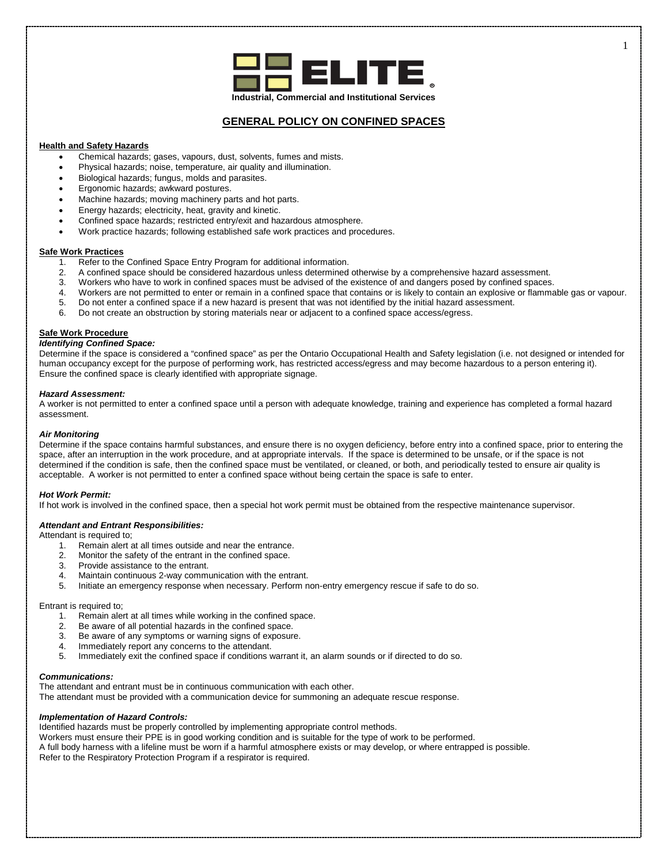

## **GENERAL POLICY ON CONFINED SPACES**

## **Health and Safety Hazards**

- Chemical hazards; gases, vapours, dust, solvents, fumes and mists.
- Physical hazards; noise, temperature, air quality and illumination.
- Biological hazards; fungus, molds and parasites.
- Ergonomic hazards; awkward postures.
- Machine hazards; moving machinery parts and hot parts.
- Energy hazards; electricity, heat, gravity and kinetic.
- Confined space hazards; restricted entry/exit and hazardous atmosphere.
- Work practice hazards; following established safe work practices and procedures.

# **Safe Work Practices**<br>1 Refer to the

- Refer to the Confined Space Entry Program for additional information.
- 2. A confined space should be considered hazardous unless determined otherwise by a comprehensive hazard assessment.<br>3. Workers who have to work in confined spaces must be advised of the existence of and dangers posed by c
- 3. Workers who have to work in confined spaces must be advised of the existence of and dangers posed by confined spaces.
- 4. Workers are not permitted to enter or remain in a confined space that contains or is likely to contain an explosive or flammable gas or vapour.
- 5. Do not enter a confined space if a new hazard is present that was not identified by the initial hazard assessment.
- 6. Do not create an obstruction by storing materials near or adjacent to a confined space access/egress.

## **Safe Work Procedure**

## *Identifying Confined Space:*

Determine if the space is considered a "confined space" as per the Ontario Occupational Health and Safety legislation (i.e. not designed or intended for human occupancy except for the purpose of performing work, has restricted access/egress and may become hazardous to a person entering it). Ensure the confined space is clearly identified with appropriate signage.

#### *Hazard Assessment:*

A worker is not permitted to enter a confined space until a person with adequate knowledge, training and experience has completed a formal hazard assessment.

#### *Air Monitoring*

Determine if the space contains harmful substances, and ensure there is no oxygen deficiency, before entry into a confined space, prior to entering the space, after an interruption in the work procedure, and at appropriate intervals. If the space is determined to be unsafe, or if the space is not determined if the condition is safe, then the confined space must be ventilated, or cleaned, or both, and periodically tested to ensure air quality is acceptable. A worker is not permitted to enter a confined space without being certain the space is safe to enter.

#### *Hot Work Permit:*

If hot work is involved in the confined space, then a special hot work permit must be obtained from the respective maintenance supervisor.

#### *Attendant and Entrant Responsibilities:*

Attendant is required to;

- 1. Remain alert at all times outside and near the entrance.<br>2. Monitor the safety of the entrant in the confined space.
- Monitor the safety of the entrant in the confined space.
- 3. Provide assistance to the entrant.
- 4. Maintain continuous 2-way communication with the entrant.<br>5. Initiate an emergency response when necessary. Perform n
- Initiate an emergency response when necessary. Perform non-entry emergency rescue if safe to do so.

Entrant is required to;

- 1. Remain alert at all times while working in the confined space.
- 2. Be aware of all potential hazards in the confined space.
- 3. Be aware of any symptoms or warning signs of exposure.
- 4. Immediately report any concerns to the attendant.<br>5. Immediately exit the confined space if conditions **v**
- Immediately exit the confined space if conditions warrant it, an alarm sounds or if directed to do so.

## *Communications:*

The attendant and entrant must be in continuous communication with each other.

The attendant must be provided with a communication device for summoning an adequate rescue response.

## *Implementation of Hazard Controls:*

Identified hazards must be properly controlled by implementing appropriate control methods.

Workers must ensure their PPE is in good working condition and is suitable for the type of work to be performed.

A full body harness with a lifeline must be worn if a harmful atmosphere exists or may develop, or where entrapped is possible. Refer to the Respiratory Protection Program if a respirator is required.